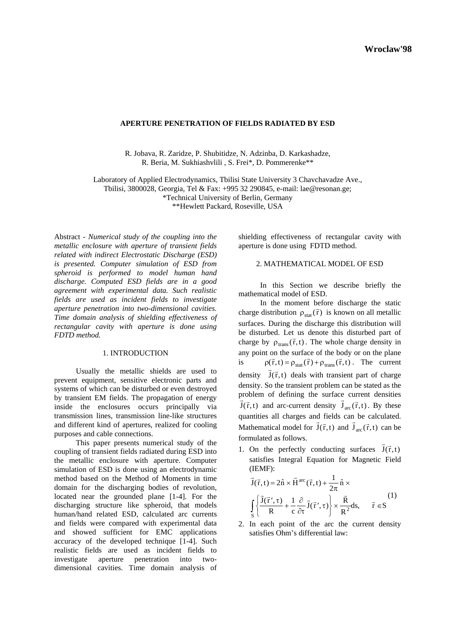# **APERTURE PENETRATION OF FIELDS RADIATED BY ESD**

R. Jobava, R. Zaridze, P. Shubitidze, N. Adzinba, D. Karkashadze, R. Beria, M. Sukhiashvlili , S. Frei\*, D. Pommerenke\*\*

Laboratory of Applied Electrodynamics, Tbilisi State University 3 Chavchavadze Ave., Tbilisi, 3800028, Georgia, Tel & Fax: +995 32 290845, e-mail: lae@resonan.ge;

\*Technical University of Berlin, Germany

\*\*Hewlett Packard, Roseville, USA

Abstract - *Numerical study of the coupling into the metallic enclosure with aperture of transient fields related with indirect Electrostatic Discharge (ESD) is presented. Computer simulation of ESD from spheroid is performed to model human hand discharge. Computed ESD fields are in a good agreement with experimental data. Such realistic fields are used as incident fields to investigate aperture penetration into two-dimensional cavities. Time domain analysis of shielding effectiveness of rectangular cavity with aperture is done using FDTD method.* 

## 1. INTRODUCTION

 Usually the metallic shields are used to prevent equipment, sensitive electronic parts and systems of which can be disturbed or even destroyed by transient EM fields. The propagation of energy inside the enclosures occurs principally via transmission lines, transmission line-like structures and different kind of apertures, realized for cooling purposes and cable connections.

 This paper presents numerical study of the coupling of transient fields radiated during ESD into the metallic enclosure with aperture. Computer simulation of ESD is done using an electrodynamic method based on the Method of Moments in time domain for the discharging bodies of revolution, located near the grounded plane [1-4]. For the discharging structure like spheroid, that models human/hand related ESD, calculated arc currents and fields were compared with experimental data and showed sufficient for EMC applications accuracy of the developed technique [1-4]. Such realistic fields are used as incident fields to investigate aperture penetration into twodimensional cavities. Time domain analysis of

shielding effectiveness of rectangular cavity with aperture is done using FDTD method.

# 2. MATHEMATICAL MODEL OF ESD

In this Section we describe briefly the mathematical model of ESD.

In the moment before discharge the static charge distribution  $\rho_{stat}(\vec{r})$  is known on all metallic surfaces. During the discharge this distribution will be disturbed. Let us denote this disturbed part of charge by  $\rho_{trans}(\vec{r},t)$ . The whole charge density in any point on the surface of the body or on the plane is  $\rho(\vec{r},t) = \rho_{stat}(\vec{r}) + \rho_{trans}(\vec{r},t)$ . The current density  $\vec{J}(\vec{r}, t)$  deals with transient part of charge density. So the transient problem can be stated as the problem of defining the surface current densities  $\vec{J}(\vec{r},t)$  and arc-current density  $\vec{J}_{\text{arc}}(\vec{r},t)$ . By these quantities all charges and fields can be calculated. Mathematical model for  $J(\vec{r}, t)$  and  $J_{\text{arc}}(\vec{r}, t)$  can be formulated as follows.

1. On the perfectly conducting surfaces  $\vec{J}(\vec{r},t)$ satisfies Integral Equation for Magnetic Field (IEMF):

$$
\vec{J}(\vec{r},t) = 2\hat{n} \times \vec{H}^{arc}(\vec{r},t) + \frac{1}{2\pi}\hat{n} \times
$$
\n
$$
\int_{S} \left\{ \frac{\vec{J}(\vec{r}',\tau)}{R} + \frac{1}{c} \frac{\partial}{\partial \tau} \vec{J}(\vec{r}',\tau) \right\} \times \frac{\vec{R}}{R^2} ds, \quad \vec{r} \in S
$$
\n(1)

2. In each point of the arc the current density satisfies Ohm's differential law: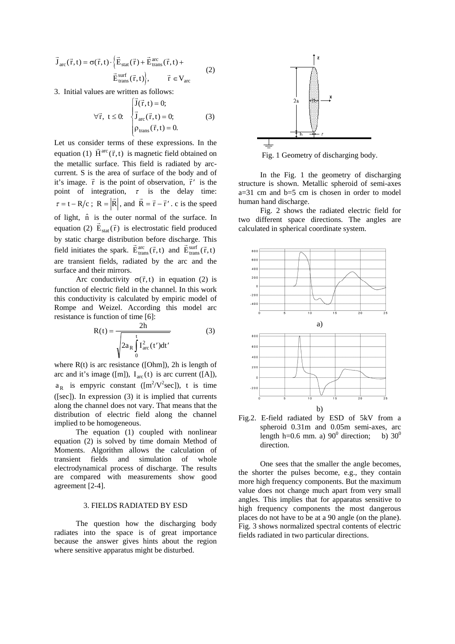$$
\vec{J}_{arc}(\vec{r},t) = \sigma(\vec{r},t) \cdot \left\{ \vec{E}_{stat}(\vec{r}) + \vec{E}_{trans}^{arc}(\vec{r},t) + \vec{E}_{trans}^{surf}(\vec{r},t) \right\}, \qquad \vec{r} \in V_{arc}
$$
\n(2)

3. Initial values are written as follows:

5. Iintar values are written as follows:  
\n
$$
\forall \vec{r}, t \le 0: \begin{cases}\n\vec{J}(\vec{r}, t) = 0; \\
\vec{J}_{\text{arc}}(\vec{r}, t) = 0; \\
\rho_{\text{trans}}(\vec{r}, t) = 0.\n\end{cases}
$$
\n(3)

Let us consider terms of these expressions. In the equation (1)  $\vec{H}^{arc}(\vec{r},t)$  is magnetic field obtained on the metallic surface. This field is radiated by arccurrent. S is the area of surface of the body and of the term is the area of surface of the body and of it's image.  $\vec{r}$  is the point of observation,  $\vec{r}'$  is the point of integration,  $\tau$  is the delay time:  $\tau = t - R/c$ ;  $R = |\vec{R}|$ , and  $\vec{R} = \vec{r} - \vec{r}'$ . c is the speed of light,  $\hat{n}$  is the outer normal of the surface. In equation (2)  $\vec{E}_{stat}(\vec{r})$  is electrostatic field produced by static charge distribution before discharge. This by static charge distribution before discharge. This<br>field initiates the spark.  $\vec{E}_{\text{trans}}^{\text{arc}}(\vec{r},t)$  and  $\vec{E}_{\text{trans}}^{\text{surf}}(\vec{r},t)$ are transient fields, radiated by the arc and the surface and their mirrors.

Arc conductivity  $\sigma(\vec{r},t)$  in equation (2) is function of electric field in the channel. In this work this conductivity is calculated by empiric model of Rompe and Weizel. According this model arc resistance is function of time [6]:

$$
R(t) = \frac{2h}{\sqrt{2a_R \int_0^t I_{arc}^2(t')dt'}}
$$
(3)

where  $R(t)$  is arc resistance ([Ohm]), 2h is length of arc and it's image ([m]),  $I_{\text{arc}}(t)$  is arc current ([A]),  $a_R$  is empyric constant ([m<sup>2</sup>/V<sup>2</sup>sec]), t is time ([sec]). In expression (3) it is implied that currents along the channel does not vary. That means that the distribution of electric field along the channel implied to be homogeneous.

 The equation (1) coupled with nonlinear equation (2) is solved by time domain Method of Moments. Algorithm allows the calculation of transient fields and simulation of whole electrodynamical process of discharge. The results are compared with measurements show good agreement [2-4].

# 3. FIELDS RADIATED BY ESD

The question how the discharging body radiates into the space is of great importance because the answer gives hints about the region where sensitive apparatus might be disturbed.



Fig. 1 Geometry of discharging body.

In the Fig. 1 the geometry of discharging structure is shown. Metallic spheroid of semi-axes  $a=31$  cm and  $b=5$  cm is chosen in order to model human hand discharge.

Fig. 2 shows the radiated electric field for two different space directions. The angles are calculated in spherical coordinate system.





One sees that the smaller the angle becomes, the shorter the pulses become, e.g., they contain more high frequency components. But the maximum value does not change much apart from very small angles. This implies that for apparatus sensitive to high frequency components the most dangerous places do not have to be at a 90 angle (on the plane). Fig. 3 shows normalized spectral contents of electric fields radiated in two particular directions.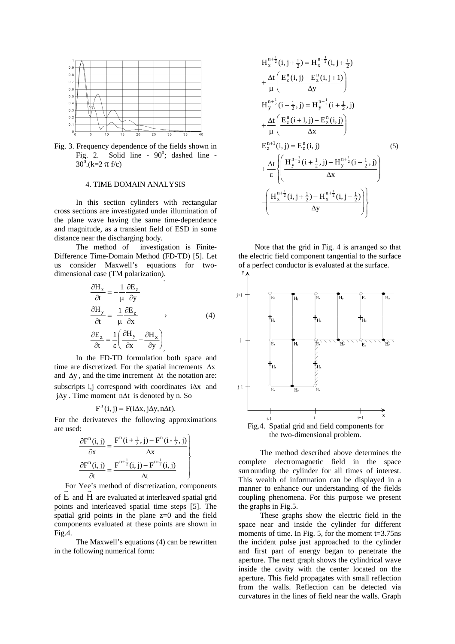

Fig. 3. Frequency dependence of the fields shown in Fig. 2. Solid line -  $90^\circ$ ; dashed line - $30^0$ .(k=2  $\pi$  f/c)

#### 4. TIME DOMAIN ANALYSIS

 In this section cylinders with rectangular cross sections are investigated under illumination of the plane wave having the same time-dependence and magnitude, as a transient field of ESD in some distance near the discharging body.

 The method of investigation is Finite-Difference Time-Domain Method (FD-TD) [5]. Let us consider Maxwell's equations for twodimensional case (TM polarization).

$$
\frac{\partial H_x}{\partial t} = -\frac{1}{\mu} \frac{\partial E_z}{\partial y}
$$
\n
$$
\frac{\partial H_y}{\partial t} = \frac{1}{\mu} \frac{\partial E_z}{\partial x}
$$
\n
$$
\frac{\partial E_z}{\partial t} = \frac{1}{\epsilon} \left( \frac{\partial H_y}{\partial x} - \frac{\partial H_x}{\partial y} \right)
$$
\n(4)

In the FD-TD formulation both space and time are discretized. For the spatial increments  $\Delta x$ and  $\Delta y$ , and the time increment  $\Delta t$  the notation are: subscripts i,j correspond with coordinates  $i\Delta x$  and  $i\Delta y$ . Time moment n $\Delta t$  is denoted by n. So

## $F<sup>n</sup>(i, j) = F(i\Delta x, j\Delta y, n\Delta t).$

For the derivateves the following approximations are used:

$$
\frac{\partial F^{n}(i,j)}{\partial x} = \frac{F^{n}(i+\frac{1}{2},j) - F^{n}(i-\frac{1}{2},j)}{\Delta x}
$$

$$
\frac{\partial F^{n}(i,j)}{\partial t} = \frac{F^{n+\frac{1}{2}}(i,j) - F^{n-\frac{1}{2}}(i,j)}{\Delta t}
$$

For Yee's method of discretization, components of E and H are evaluated at interleaved spatial grid points and interleaved spatial time steps [5]. The spatial grid points in the plane  $z=0$  and the field components evaluated at these points are shown in Fig.4.

 The Maxwell's equations (4) can be rewritten in the following numerical form:

$$
H_{x}^{n+\frac{1}{2}}(i, j+\frac{1}{2}) = H_{x}^{n-\frac{1}{2}}(i, j+\frac{1}{2})
$$
  
+ 
$$
\frac{\Delta t}{\mu} \left( \frac{E_{z}^{n}(i, j) - E_{z}^{n}(i, j+1)}{\Delta y} \right)
$$
  

$$
H_{y}^{n+\frac{1}{2}}(i+\frac{1}{2}, j) = H_{y}^{n-\frac{1}{2}}(i+\frac{1}{2}, j)
$$
  
+ 
$$
\frac{\Delta t}{\mu} \left( \frac{E_{z}^{n}(i+1, j) - E_{z}^{n}(i, j)}{\Delta x} \right)
$$
  

$$
E_{z}^{n+1}(i, j) = E_{z}^{n}(i, j)
$$
  
+ 
$$
\frac{\Delta t}{\epsilon} \left\{ \left( \frac{H_{y}^{n+\frac{1}{2}}(i+\frac{1}{2}, j) - H_{y}^{n+\frac{1}{2}}(i-\frac{1}{2}, j)}{\Delta x} \right) \right\}
$$
  
- 
$$
\left( \frac{H_{x}^{n+\frac{1}{2}}(i, j+\frac{1}{2}) - H_{x}^{n+\frac{1}{2}}(i, j-\frac{1}{2})}{\Delta y} \right) \right\}
$$

Note that the grid in Fig. 4 is arranged so that the electric field component tangential to the surface of a perfect conductor is evaluated at the surface.



 The method described above determines the complete electromagnetic field in the space surrounding the cylinder for all times of interest. This wealth of information can be displayed in a manner to enhance our understanding of the fields coupling phenomena. For this purpose we present the graphs in Fig.5.

These graphs show the electric field in the space near and inside the cylinder for different moments of time. In Fig. 5, for the moment  $t=3.75$ ns the incident pulse just approached to the cylinder and first part of energy began to penetrate the aperture. The next graph shows the cylindrical wave inside the cavity with the center located on the aperture. This field propagates with small reflection from the walls. Reflection can be detected via curvatures in the lines of field near the walls. Graph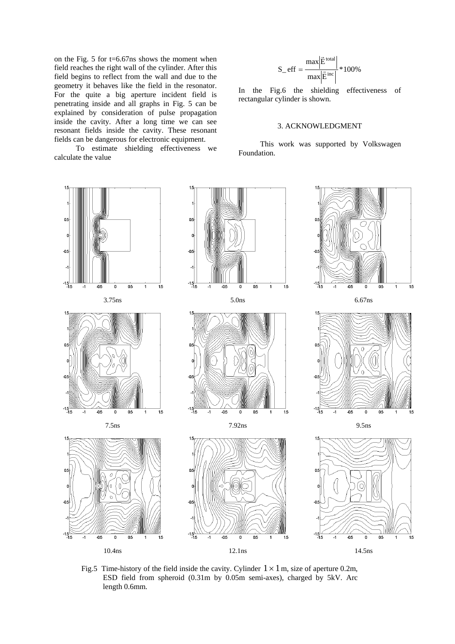on the Fig. 5 for t=6.67ns shows the moment when field reaches the right wall of the cylinder. After this field begins to reflect from the wall and due to the geometry it behaves like the field in the resonator. For the quite a big aperture incident field is penetrating inside and all graphs in Fig. 5 can be explained by consideration of pulse propagation inside the cavity. After a long time we can see resonant fields inside the cavity. These resonant fields can be dangerous for electronic equipment.

 To estimate shielding effectiveness we calculate the value

$$
S\_eff = \frac{max|\vec{E}^{total}|}{max|\vec{E}^{inc}|} * 100\%
$$

In the Fig.6 the shielding effectiveness of rectangular cylinder is shown.

# 3. ACKNOWLEDGMENT

 This work was supported by Volkswagen Foundation.



Fig.5 Time-history of the field inside the cavity. Cylinder  $1 \times 1$  m, size of aperture 0.2m, ESD field from spheroid (0.31m by 0.05m semi-axes), charged by 5kV. Arc length 0.6mm.